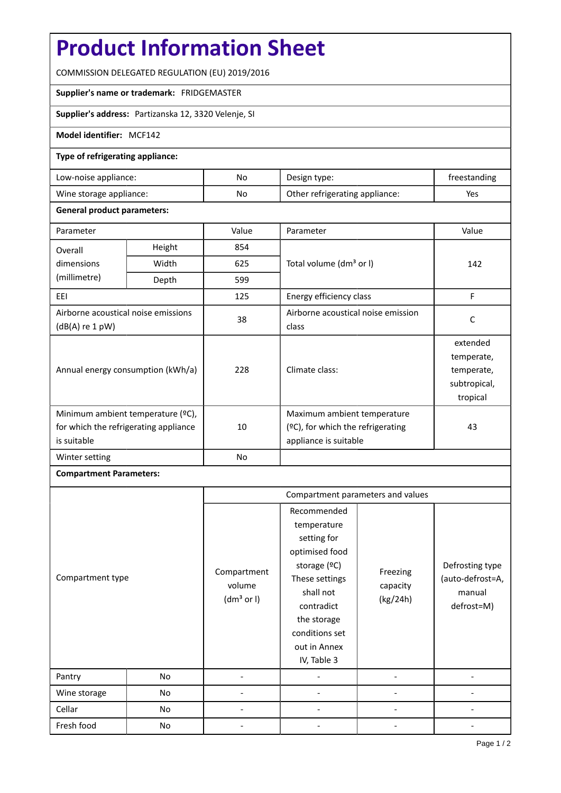# **Product Information Sheet**

COMMISSION DELEGATED REGULATION (EU) 2019/2016

### **Supplier's name or trademark:** FRIDGEMASTER

## **Supplier's address:** Partizanska 12, 3320 Velenje, SI

### **Model identifier:** MCF142

### **Type of refrigerating appliance:**

| Low-noise appliance:    | No | Design type:                   | freestanding |
|-------------------------|----|--------------------------------|--------------|
| Wine storage appliance: | No | Other refrigerating appliance: | Yes          |

#### **General product parameters:**

| Parameter                                                                                 |        | Value | Parameter                                                                                    | Value                                                            |
|-------------------------------------------------------------------------------------------|--------|-------|----------------------------------------------------------------------------------------------|------------------------------------------------------------------|
| Overall                                                                                   | Height | 854   |                                                                                              | 142                                                              |
| dimensions<br>(millimetre)                                                                | Width  | 625   | Total volume (dm <sup>3</sup> or I)                                                          |                                                                  |
|                                                                                           | Depth  | 599   |                                                                                              |                                                                  |
| EEI                                                                                       | 125    |       | Energy efficiency class                                                                      | F                                                                |
| Airborne acoustical noise emissions<br>$(dB(A)$ re 1 pW)                                  |        | 38    | Airborne acoustical noise emission<br>class                                                  | C                                                                |
| Annual energy consumption (kWh/a)                                                         |        | 228   | Climate class:                                                                               | extended<br>temperate,<br>temperate,<br>subtropical,<br>tropical |
| Minimum ambient temperature (°C),<br>for which the refrigerating appliance<br>is suitable |        | 10    | Maximum ambient temperature<br>$(2C)$ , for which the refrigerating<br>appliance is suitable | 43                                                               |
| Winter setting                                                                            |        | No    |                                                                                              |                                                                  |

### **Compartment Parameters:**

| Compartment type<br>Pantry<br>No |    | Compartment parameters and values               |                                                                                                                                                                                          |                                  |                                                             |
|----------------------------------|----|-------------------------------------------------|------------------------------------------------------------------------------------------------------------------------------------------------------------------------------------------|----------------------------------|-------------------------------------------------------------|
|                                  |    | Compartment<br>volume<br>(dm <sup>3</sup> or I) | Recommended<br>temperature<br>setting for<br>optimised food<br>storage (ºC)<br>These settings<br>shall not<br>contradict<br>the storage<br>conditions set<br>out in Annex<br>IV, Table 3 | Freezing<br>capacity<br>(kg/24h) | Defrosting type<br>(auto-defrost=A,<br>manual<br>defrost=M) |
|                                  |    |                                                 |                                                                                                                                                                                          |                                  |                                                             |
| Wine storage                     | No |                                                 |                                                                                                                                                                                          |                                  |                                                             |
| Cellar                           | No |                                                 |                                                                                                                                                                                          |                                  |                                                             |
| Fresh food                       | No |                                                 |                                                                                                                                                                                          |                                  |                                                             |